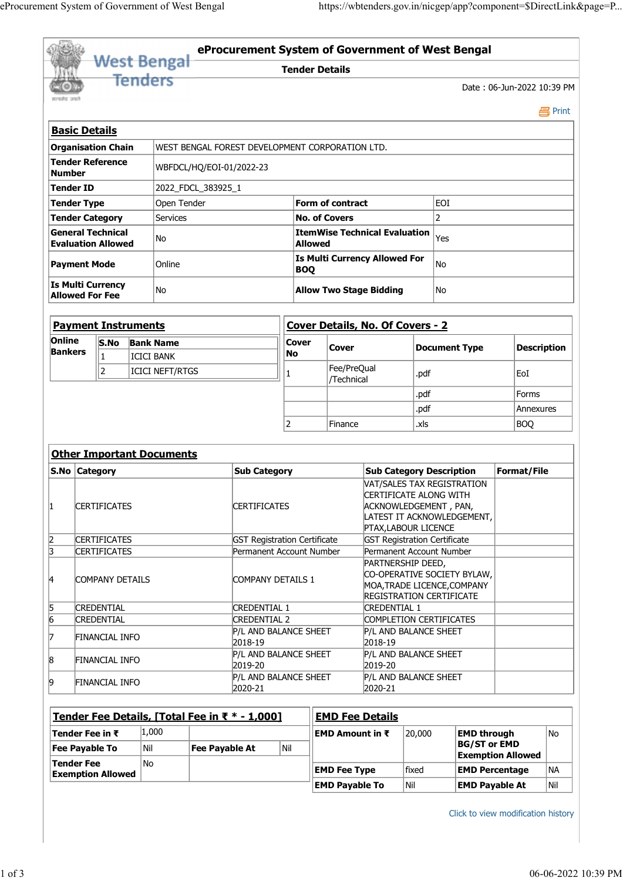| eProcurement System of Government of West Bengal |             |                                            |                   |                                   |                                                                 |                       |                           |                                                                 |                                                               |                                                                   |  |
|--------------------------------------------------|-------------|--------------------------------------------|-------------------|-----------------------------------|-----------------------------------------------------------------|-----------------------|---------------------------|-----------------------------------------------------------------|---------------------------------------------------------------|-------------------------------------------------------------------|--|
|                                                  |             |                                            |                   |                                   |                                                                 |                       |                           |                                                                 |                                                               |                                                                   |  |
|                                                  |             |                                            |                   |                                   |                                                                 |                       |                           |                                                                 |                                                               |                                                                   |  |
|                                                  |             |                                            |                   |                                   |                                                                 |                       |                           |                                                                 |                                                               |                                                                   |  |
|                                                  |             |                                            |                   |                                   |                                                                 |                       |                           |                                                                 |                                                               |                                                                   |  |
|                                                  |             |                                            |                   |                                   |                                                                 |                       |                           |                                                                 |                                                               |                                                                   |  |
|                                                  |             |                                            |                   |                                   |                                                                 |                       |                           |                                                                 |                                                               |                                                                   |  |
|                                                  |             |                                            |                   |                                   |                                                                 |                       |                           |                                                                 |                                                               |                                                                   |  |
|                                                  |             |                                            |                   |                                   |                                                                 |                       |                           |                                                                 |                                                               | https://wbtenders.gov.in/nicgep/app?component=\$DirectLink&page=P |  |
|                                                  |             |                                            |                   |                                   |                                                                 |                       |                           |                                                                 |                                                               |                                                                   |  |
|                                                  |             |                                            |                   |                                   |                                                                 |                       |                           |                                                                 |                                                               |                                                                   |  |
|                                                  |             |                                            |                   | <b>West Bengal</b>                |                                                                 |                       |                           |                                                                 | eProcurement System of Government of West Bengal              |                                                                   |  |
|                                                  |             |                                            | <b>Tenders</b>    |                                   |                                                                 | <b>Tender Details</b> |                           |                                                                 |                                                               |                                                                   |  |
| सत्यमेव जयते                                     |             |                                            |                   |                                   |                                                                 |                       |                           |                                                                 |                                                               | Date: 06-Jun-2022 10:39 PM                                        |  |
|                                                  |             |                                            |                   |                                   |                                                                 |                       |                           |                                                                 |                                                               | <b>昌</b> Print                                                    |  |
| <b>Basic Details</b>                             |             |                                            |                   |                                   |                                                                 |                       |                           |                                                                 |                                                               |                                                                   |  |
| <b>Organisation Chain</b>                        |             |                                            |                   |                                   | WEST BENGAL FOREST DEVELOPMENT CORPORATION LTD.                 |                       |                           |                                                                 |                                                               |                                                                   |  |
| <b>Tender Reference</b>                          |             |                                            |                   | WBFDCL/HQ/EOI-01/2022-23          |                                                                 |                       |                           |                                                                 |                                                               |                                                                   |  |
| <b>Number</b>                                    |             |                                            |                   |                                   |                                                                 |                       |                           |                                                                 |                                                               |                                                                   |  |
| Tender ID<br>Tender Type                         |             |                                            |                   | 2022_FDCL_383925_1<br>Open Tender |                                                                 |                       | Form of contract          |                                                                 | EOI                                                           |                                                                   |  |
| Tender Category                                  |             |                                            |                   | Services                          |                                                                 |                       | <b>No. of Covers</b>      |                                                                 | $\overline{2}$                                                |                                                                   |  |
| <b>General Technical</b>                         |             |                                            |                   | No                                |                                                                 |                       |                           | <b>ItemWise Technical Evaluation</b> $ Y_{\text{res}}\rangle$   |                                                               |                                                                   |  |
| <b>Evaluation Allowed</b>                        |             |                                            |                   |                                   |                                                                 | <b>Allowed</b>        |                           | Is Multi Currency Allowed For                                   |                                                               |                                                                   |  |
| Payment Mode                                     |             |                                            |                   | Online                            |                                                                 | <b>BOQ</b>            |                           |                                                                 | No                                                            |                                                                   |  |
| Is Multi Currency                                |             |                                            |                   | No                                |                                                                 |                       |                           | <b>Allow Two Stage Bidding</b><br> No                           |                                                               |                                                                   |  |
| <b>Allowed For Fee</b>                           |             |                                            |                   |                                   |                                                                 |                       |                           |                                                                 |                                                               |                                                                   |  |
| <b>Payment Instruments</b>                       |             |                                            |                   |                                   |                                                                 |                       |                           | Cover Details, No. Of Covers - 2                                |                                                               |                                                                   |  |
| Online                                           |             |                                            | S.No Bank Name    |                                   |                                                                 | <b>Cover</b>          |                           |                                                                 |                                                               |                                                                   |  |
| <b>Bankers</b>                                   |             |                                            | <b>ICICI BANK</b> |                                   |                                                                 | No                    | <b>Cover</b>              |                                                                 | Document Type                                                 | Description                                                       |  |
|                                                  | $ 2\rangle$ |                                            |                   | ICICI NEFT/RTGS                   |                                                                 |                       | Fee/PreQual<br>/Technical |                                                                 | .pdf                                                          | EoI                                                               |  |
|                                                  |             |                                            |                   |                                   |                                                                 |                       |                           |                                                                 | .pdf                                                          | Forms                                                             |  |
|                                                  |             |                                            |                   |                                   |                                                                 |                       |                           |                                                                 | .pdf                                                          | Annexures                                                         |  |
|                                                  |             |                                            |                   |                                   |                                                                 | $\mathcal{P}$         | Finance                   |                                                                 | .xls                                                          | BOQ                                                               |  |
|                                                  |             |                                            |                   |                                   |                                                                 |                       |                           |                                                                 |                                                               |                                                                   |  |
|                                                  |             |                                            |                   | <b>Other Important Documents</b>  |                                                                 |                       |                           |                                                                 |                                                               | Format/File                                                       |  |
| S.No Category                                    |             |                                            |                   |                                   | <b>Sub Category</b>                                             |                       |                           |                                                                 | <b>Sub Category Description</b><br>VAT/SALES TAX REGISTRATION |                                                                   |  |
|                                                  |             |                                            |                   |                                   |                                                                 |                       |                           | CERTIFICATE ALONG WITH                                          |                                                               |                                                                   |  |
| 11                                               |             | <b>CERTIFICATES</b>                        |                   |                                   | <b>CERTIFICATES</b>                                             |                       |                           |                                                                 | ACKNOWLEDGEMENT, PAN,<br>LATEST IT ACKNOWLEDGEMENT,           |                                                                   |  |
|                                                  |             |                                            |                   |                                   |                                                                 |                       |                           | PTAX, LABOUR LICENCE                                            |                                                               |                                                                   |  |
| $\overline{2}$<br> 3                             |             | <b>CERTIFICATES</b><br><b>CERTIFICATES</b> |                   |                                   | <b>GST Registration Certificate</b><br>Permanent Account Number |                       |                           | <b>GST Registration Certificate</b><br>Permanent Account Number |                                                               |                                                                   |  |
|                                                  |             |                                            |                   |                                   |                                                                 |                       |                           | PARTNERSHIP DEED,                                               |                                                               |                                                                   |  |
| 14                                               |             | COMPANY DETAILS                            |                   |                                   | COMPANY DETAILS 1                                               |                       |                           |                                                                 | CO-OPERATIVE SOCIETY BYLAW,<br>MOA, TRADE LICENCE, COMPANY    |                                                                   |  |
|                                                  |             |                                            |                   |                                   |                                                                 |                       |                           |                                                                 | <b>REGISTRATION CERTIFICATE</b>                               |                                                                   |  |
| $\frac{5}{6}$                                    |             | <b>CREDENTIAL</b><br><b>CREDENTIAL</b>     |                   |                                   | <b>CREDENTIAL 1</b><br><b>CREDENTIAL 2</b>                      |                       |                           | <b>CREDENTIAL 1</b>                                             | COMPLETION CERTIFICATES                                       |                                                                   |  |
|                                                  |             |                                            |                   |                                   | P/L AND BALANCE SHEET                                           |                       |                           | P/L AND BALANCE SHEET                                           |                                                               |                                                                   |  |
|                                                  |             | <b>FINANCIAL INFO</b>                      |                   |                                   | 2018-10                                                         |                       |                           | $b$ 019 10                                                      |                                                               |                                                                   |  |

| FINANCIAL INFO | <b>P/L AND BALANCE SHEET</b>     | <b>P/L AND BALANCE SHEET</b>                                 |
|----------------|----------------------------------|--------------------------------------------------------------|
|                | 2018-19                          | $2018 - 19$                                                  |
|                |                                  | P/L AND BALANCE SHEET                                        |
|                | $2019 - 20$                      | $2019 - 20$                                                  |
|                |                                  | <b>P/L AND BALANCE SHEET</b>                                 |
|                | 2020-21                          | 2020-21                                                      |
|                | FINANCIAL INFO<br>FINANCIAL INFO | <b>P/L AND BALANCE SHEET</b><br><b>P/L AND BALANCE SHEET</b> |

| 5           | <b>CREDENTIAL</b>                             |       | <b>CREDENTIAL 1</b>                            |             | <b>CREDENTIAL 1</b>    |                         |                       |                                    |                     |
|-------------|-----------------------------------------------|-------|------------------------------------------------|-------------|------------------------|-------------------------|-----------------------|------------------------------------|---------------------|
| $ 6\rangle$ | <b>CREDENTIAL</b>                             |       | <b>CREDENTIAL 2</b>                            |             |                        | COMPLETION CERTIFICATES |                       |                                    |                     |
|             | <b>FINANCIAL INFO</b>                         |       | P/L AND BALANCE SHEET<br>2018-19               |             | 2018-19                | P/L AND BALANCE SHEET   |                       |                                    |                     |
| $\vert 8$   | FINANCIAL INFO                                |       | P/L AND BALANCE SHEET<br>2019-20               |             | 2019-20                | P/L AND BALANCE SHEET   |                       |                                    |                     |
| $ 9\rangle$ | <b>FINANCIAL INFO</b>                         |       | P/L AND BALANCE SHEET<br>2020-21               |             | 2020-21                | P/L AND BALANCE SHEET   |                       |                                    |                     |
|             |                                               |       | Tender Fee Details, [Total Fee in ₹ * - 1,000] |             | <b>EMD Fee Details</b> |                         |                       |                                    |                     |
|             | Tender Fee in $\bar{\tau}$                    | 1,000 |                                                |             | EMD Amount in ₹        | 20,000                  | <b>EMD through</b>    |                                    | No                  |
|             | <b>Fee Payable To</b>                         | Nil   | <b>Fee Payable At</b>                          | $\vert$ Nil |                        |                         | <b>BG/ST or EMD</b>   | <b>Exemption Allowed</b>           |                     |
|             | <b>Tender Fee</b><br><b>Exemption Allowed</b> | No.   |                                                |             | <b>EMD Fee Type</b>    | fixed                   |                       | <b>EMD Percentage</b>              | NA                  |
|             |                                               |       |                                                |             | <b>EMD Payable To</b>  | Nil                     | <b>EMD Payable At</b> |                                    | Nil                 |
|             |                                               |       |                                                |             |                        |                         |                       | Click to view modification history |                     |
|             |                                               |       |                                                |             |                        |                         |                       |                                    | 06-06-2022 10:39 PM |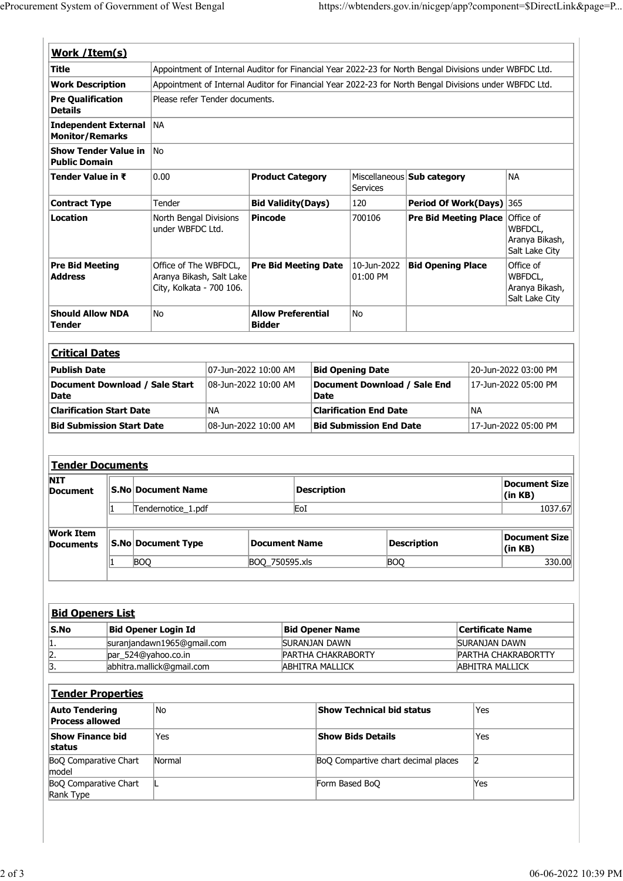| eProcurement System of Government of West Bengal<br>https://wbtenders.gov.in/nicgep/app?component=\$DirectLink&page=P<br>Work / Item(s)<br>Appointment of Internal Auditor for Financial Year 2022-23 for North Bengal Divisions under WBFDC Ltd.<br><b>Work Description</b><br>Appointment of Internal Auditor for Financial Year 2022-23 for North Bengal Divisions under WBFDC Ltd.<br>Pre Qualification<br>Please refer Tender documents.<br><b>Details</b><br>Independent External NA<br><b>Monitor/Remarks</b><br>Show Tender Value in No<br><b>Public Domain</b><br>NA<br>Tender Value in ₹<br>0.00<br>Miscellaneous <b>Sub category</b><br><b>Product Category</b><br><b>Services</b><br>120<br>Period Of Work(Days) 365<br>Tender<br>Bid Validity(Days)<br><b>Contract Type</b><br>North Bengal Divisions<br><b>Pre Bid Meeting Place Office of</b><br>Pincode<br>700106<br>Location<br>under WBFDC Ltd.<br>WBFDCL,<br>Aranya Bikash,<br>Salt Lake City<br>$10$ -Jun-2022 Bid Opening Place<br>Office of<br><b>Pre Bid Meeting</b><br>Office of The WBFDCL,<br><b>Pre Bid Meeting Date</b><br>WBFDCL,<br>$ 01:00$ PM<br><b>Address</b><br>Aranya Bikash, Salt Lake<br>City, Kolkata - 700 106.<br>Aranya Bikash,<br>Salt Lake City<br><b>Should Allow NDA</b><br><b>Allow Preferential</b><br>No<br>No<br><b>Tender</b><br><b>Bidder</b><br><b>Critical Dates</b><br>20-Jun-2022 03:00 PM<br><b>Publish Date</b><br>07-Jun-2022 10:00 AM<br><b>Bid Opening Date</b><br>Document Download / Sale End<br>Document Download / Sale Start<br>08-Jun-2022 10:00 AM<br>17-Jun-2022 05:00 PM<br><b>Date</b><br><b>Date</b><br>NA<br>NA<br><b>Clarification Start Date</b><br><b>Clarification End Date</b><br><b>Bid Submission Start Date</b><br>08-Jun-2022 10:00 AM<br><b>Bid Submission End Date</b><br>17-Jun-2022 05:00 PM<br>Tender Documents<br><b>Document Size</b><br><b>Description</b><br><b>S.No Document Name</b><br><b>Document</b><br>(in KB)<br>EoI<br>1037.67<br>Tendernotice_1.pdf<br><b>Work Item</b><br><b>Document Size</b><br><b>S.No Document Type</b><br>Description<br><b>Document Name</b><br><b>Documents</b><br>(in KB)<br><b>BOQ</b><br><b>BOQ</b><br>BOQ_750595.xls<br>330.00<br><b>Bid Openers List</b><br><b>Bid Opener Login Id</b><br>Certificate Name<br><b>Bid Opener Name</b><br>suranjandawn1965@gmail.com<br><b>SURANJAN DAWN</b><br><b>SURANJAN DAWN</b><br>par_524@yahoo.co.in<br>PARTHA CHAKRABORTY<br>PARTHA CHAKRABORTTY<br>abhitra.mallick@gmail.com<br><b>ABHITRA MALLICK</b><br><b>ABHITRA MALLICK</b> | <b>Title</b>        |  |  |  |  |  |
|----------------------------------------------------------------------------------------------------------------------------------------------------------------------------------------------------------------------------------------------------------------------------------------------------------------------------------------------------------------------------------------------------------------------------------------------------------------------------------------------------------------------------------------------------------------------------------------------------------------------------------------------------------------------------------------------------------------------------------------------------------------------------------------------------------------------------------------------------------------------------------------------------------------------------------------------------------------------------------------------------------------------------------------------------------------------------------------------------------------------------------------------------------------------------------------------------------------------------------------------------------------------------------------------------------------------------------------------------------------------------------------------------------------------------------------------------------------------------------------------------------------------------------------------------------------------------------------------------------------------------------------------------------------------------------------------------------------------------------------------------------------------------------------------------------------------------------------------------------------------------------------------------------------------------------------------------------------------------------------------------------------------------------------------------------------------------------------------------------------------------------------------------------------------------------------------------------------------------------------------------------------------------------------------------------------------------------------------------------------------------------------------------------------------------------------------------------------------------------------------------------------------------------------------------------|---------------------|--|--|--|--|--|
|                                                                                                                                                                                                                                                                                                                                                                                                                                                                                                                                                                                                                                                                                                                                                                                                                                                                                                                                                                                                                                                                                                                                                                                                                                                                                                                                                                                                                                                                                                                                                                                                                                                                                                                                                                                                                                                                                                                                                                                                                                                                                                                                                                                                                                                                                                                                                                                                                                                                                                                                                          |                     |  |  |  |  |  |
|                                                                                                                                                                                                                                                                                                                                                                                                                                                                                                                                                                                                                                                                                                                                                                                                                                                                                                                                                                                                                                                                                                                                                                                                                                                                                                                                                                                                                                                                                                                                                                                                                                                                                                                                                                                                                                                                                                                                                                                                                                                                                                                                                                                                                                                                                                                                                                                                                                                                                                                                                          |                     |  |  |  |  |  |
|                                                                                                                                                                                                                                                                                                                                                                                                                                                                                                                                                                                                                                                                                                                                                                                                                                                                                                                                                                                                                                                                                                                                                                                                                                                                                                                                                                                                                                                                                                                                                                                                                                                                                                                                                                                                                                                                                                                                                                                                                                                                                                                                                                                                                                                                                                                                                                                                                                                                                                                                                          |                     |  |  |  |  |  |
|                                                                                                                                                                                                                                                                                                                                                                                                                                                                                                                                                                                                                                                                                                                                                                                                                                                                                                                                                                                                                                                                                                                                                                                                                                                                                                                                                                                                                                                                                                                                                                                                                                                                                                                                                                                                                                                                                                                                                                                                                                                                                                                                                                                                                                                                                                                                                                                                                                                                                                                                                          |                     |  |  |  |  |  |
|                                                                                                                                                                                                                                                                                                                                                                                                                                                                                                                                                                                                                                                                                                                                                                                                                                                                                                                                                                                                                                                                                                                                                                                                                                                                                                                                                                                                                                                                                                                                                                                                                                                                                                                                                                                                                                                                                                                                                                                                                                                                                                                                                                                                                                                                                                                                                                                                                                                                                                                                                          |                     |  |  |  |  |  |
|                                                                                                                                                                                                                                                                                                                                                                                                                                                                                                                                                                                                                                                                                                                                                                                                                                                                                                                                                                                                                                                                                                                                                                                                                                                                                                                                                                                                                                                                                                                                                                                                                                                                                                                                                                                                                                                                                                                                                                                                                                                                                                                                                                                                                                                                                                                                                                                                                                                                                                                                                          |                     |  |  |  |  |  |
|                                                                                                                                                                                                                                                                                                                                                                                                                                                                                                                                                                                                                                                                                                                                                                                                                                                                                                                                                                                                                                                                                                                                                                                                                                                                                                                                                                                                                                                                                                                                                                                                                                                                                                                                                                                                                                                                                                                                                                                                                                                                                                                                                                                                                                                                                                                                                                                                                                                                                                                                                          |                     |  |  |  |  |  |
|                                                                                                                                                                                                                                                                                                                                                                                                                                                                                                                                                                                                                                                                                                                                                                                                                                                                                                                                                                                                                                                                                                                                                                                                                                                                                                                                                                                                                                                                                                                                                                                                                                                                                                                                                                                                                                                                                                                                                                                                                                                                                                                                                                                                                                                                                                                                                                                                                                                                                                                                                          |                     |  |  |  |  |  |
|                                                                                                                                                                                                                                                                                                                                                                                                                                                                                                                                                                                                                                                                                                                                                                                                                                                                                                                                                                                                                                                                                                                                                                                                                                                                                                                                                                                                                                                                                                                                                                                                                                                                                                                                                                                                                                                                                                                                                                                                                                                                                                                                                                                                                                                                                                                                                                                                                                                                                                                                                          |                     |  |  |  |  |  |
|                                                                                                                                                                                                                                                                                                                                                                                                                                                                                                                                                                                                                                                                                                                                                                                                                                                                                                                                                                                                                                                                                                                                                                                                                                                                                                                                                                                                                                                                                                                                                                                                                                                                                                                                                                                                                                                                                                                                                                                                                                                                                                                                                                                                                                                                                                                                                                                                                                                                                                                                                          |                     |  |  |  |  |  |
|                                                                                                                                                                                                                                                                                                                                                                                                                                                                                                                                                                                                                                                                                                                                                                                                                                                                                                                                                                                                                                                                                                                                                                                                                                                                                                                                                                                                                                                                                                                                                                                                                                                                                                                                                                                                                                                                                                                                                                                                                                                                                                                                                                                                                                                                                                                                                                                                                                                                                                                                                          |                     |  |  |  |  |  |
|                                                                                                                                                                                                                                                                                                                                                                                                                                                                                                                                                                                                                                                                                                                                                                                                                                                                                                                                                                                                                                                                                                                                                                                                                                                                                                                                                                                                                                                                                                                                                                                                                                                                                                                                                                                                                                                                                                                                                                                                                                                                                                                                                                                                                                                                                                                                                                                                                                                                                                                                                          |                     |  |  |  |  |  |
|                                                                                                                                                                                                                                                                                                                                                                                                                                                                                                                                                                                                                                                                                                                                                                                                                                                                                                                                                                                                                                                                                                                                                                                                                                                                                                                                                                                                                                                                                                                                                                                                                                                                                                                                                                                                                                                                                                                                                                                                                                                                                                                                                                                                                                                                                                                                                                                                                                                                                                                                                          |                     |  |  |  |  |  |
|                                                                                                                                                                                                                                                                                                                                                                                                                                                                                                                                                                                                                                                                                                                                                                                                                                                                                                                                                                                                                                                                                                                                                                                                                                                                                                                                                                                                                                                                                                                                                                                                                                                                                                                                                                                                                                                                                                                                                                                                                                                                                                                                                                                                                                                                                                                                                                                                                                                                                                                                                          |                     |  |  |  |  |  |
|                                                                                                                                                                                                                                                                                                                                                                                                                                                                                                                                                                                                                                                                                                                                                                                                                                                                                                                                                                                                                                                                                                                                                                                                                                                                                                                                                                                                                                                                                                                                                                                                                                                                                                                                                                                                                                                                                                                                                                                                                                                                                                                                                                                                                                                                                                                                                                                                                                                                                                                                                          |                     |  |  |  |  |  |
|                                                                                                                                                                                                                                                                                                                                                                                                                                                                                                                                                                                                                                                                                                                                                                                                                                                                                                                                                                                                                                                                                                                                                                                                                                                                                                                                                                                                                                                                                                                                                                                                                                                                                                                                                                                                                                                                                                                                                                                                                                                                                                                                                                                                                                                                                                                                                                                                                                                                                                                                                          |                     |  |  |  |  |  |
|                                                                                                                                                                                                                                                                                                                                                                                                                                                                                                                                                                                                                                                                                                                                                                                                                                                                                                                                                                                                                                                                                                                                                                                                                                                                                                                                                                                                                                                                                                                                                                                                                                                                                                                                                                                                                                                                                                                                                                                                                                                                                                                                                                                                                                                                                                                                                                                                                                                                                                                                                          |                     |  |  |  |  |  |
|                                                                                                                                                                                                                                                                                                                                                                                                                                                                                                                                                                                                                                                                                                                                                                                                                                                                                                                                                                                                                                                                                                                                                                                                                                                                                                                                                                                                                                                                                                                                                                                                                                                                                                                                                                                                                                                                                                                                                                                                                                                                                                                                                                                                                                                                                                                                                                                                                                                                                                                                                          |                     |  |  |  |  |  |
|                                                                                                                                                                                                                                                                                                                                                                                                                                                                                                                                                                                                                                                                                                                                                                                                                                                                                                                                                                                                                                                                                                                                                                                                                                                                                                                                                                                                                                                                                                                                                                                                                                                                                                                                                                                                                                                                                                                                                                                                                                                                                                                                                                                                                                                                                                                                                                                                                                                                                                                                                          |                     |  |  |  |  |  |
|                                                                                                                                                                                                                                                                                                                                                                                                                                                                                                                                                                                                                                                                                                                                                                                                                                                                                                                                                                                                                                                                                                                                                                                                                                                                                                                                                                                                                                                                                                                                                                                                                                                                                                                                                                                                                                                                                                                                                                                                                                                                                                                                                                                                                                                                                                                                                                                                                                                                                                                                                          |                     |  |  |  |  |  |
|                                                                                                                                                                                                                                                                                                                                                                                                                                                                                                                                                                                                                                                                                                                                                                                                                                                                                                                                                                                                                                                                                                                                                                                                                                                                                                                                                                                                                                                                                                                                                                                                                                                                                                                                                                                                                                                                                                                                                                                                                                                                                                                                                                                                                                                                                                                                                                                                                                                                                                                                                          |                     |  |  |  |  |  |
|                                                                                                                                                                                                                                                                                                                                                                                                                                                                                                                                                                                                                                                                                                                                                                                                                                                                                                                                                                                                                                                                                                                                                                                                                                                                                                                                                                                                                                                                                                                                                                                                                                                                                                                                                                                                                                                                                                                                                                                                                                                                                                                                                                                                                                                                                                                                                                                                                                                                                                                                                          |                     |  |  |  |  |  |
|                                                                                                                                                                                                                                                                                                                                                                                                                                                                                                                                                                                                                                                                                                                                                                                                                                                                                                                                                                                                                                                                                                                                                                                                                                                                                                                                                                                                                                                                                                                                                                                                                                                                                                                                                                                                                                                                                                                                                                                                                                                                                                                                                                                                                                                                                                                                                                                                                                                                                                                                                          |                     |  |  |  |  |  |
|                                                                                                                                                                                                                                                                                                                                                                                                                                                                                                                                                                                                                                                                                                                                                                                                                                                                                                                                                                                                                                                                                                                                                                                                                                                                                                                                                                                                                                                                                                                                                                                                                                                                                                                                                                                                                                                                                                                                                                                                                                                                                                                                                                                                                                                                                                                                                                                                                                                                                                                                                          |                     |  |  |  |  |  |
|                                                                                                                                                                                                                                                                                                                                                                                                                                                                                                                                                                                                                                                                                                                                                                                                                                                                                                                                                                                                                                                                                                                                                                                                                                                                                                                                                                                                                                                                                                                                                                                                                                                                                                                                                                                                                                                                                                                                                                                                                                                                                                                                                                                                                                                                                                                                                                                                                                                                                                                                                          |                     |  |  |  |  |  |
|                                                                                                                                                                                                                                                                                                                                                                                                                                                                                                                                                                                                                                                                                                                                                                                                                                                                                                                                                                                                                                                                                                                                                                                                                                                                                                                                                                                                                                                                                                                                                                                                                                                                                                                                                                                                                                                                                                                                                                                                                                                                                                                                                                                                                                                                                                                                                                                                                                                                                                                                                          |                     |  |  |  |  |  |
|                                                                                                                                                                                                                                                                                                                                                                                                                                                                                                                                                                                                                                                                                                                                                                                                                                                                                                                                                                                                                                                                                                                                                                                                                                                                                                                                                                                                                                                                                                                                                                                                                                                                                                                                                                                                                                                                                                                                                                                                                                                                                                                                                                                                                                                                                                                                                                                                                                                                                                                                                          |                     |  |  |  |  |  |
|                                                                                                                                                                                                                                                                                                                                                                                                                                                                                                                                                                                                                                                                                                                                                                                                                                                                                                                                                                                                                                                                                                                                                                                                                                                                                                                                                                                                                                                                                                                                                                                                                                                                                                                                                                                                                                                                                                                                                                                                                                                                                                                                                                                                                                                                                                                                                                                                                                                                                                                                                          |                     |  |  |  |  |  |
|                                                                                                                                                                                                                                                                                                                                                                                                                                                                                                                                                                                                                                                                                                                                                                                                                                                                                                                                                                                                                                                                                                                                                                                                                                                                                                                                                                                                                                                                                                                                                                                                                                                                                                                                                                                                                                                                                                                                                                                                                                                                                                                                                                                                                                                                                                                                                                                                                                                                                                                                                          |                     |  |  |  |  |  |
|                                                                                                                                                                                                                                                                                                                                                                                                                                                                                                                                                                                                                                                                                                                                                                                                                                                                                                                                                                                                                                                                                                                                                                                                                                                                                                                                                                                                                                                                                                                                                                                                                                                                                                                                                                                                                                                                                                                                                                                                                                                                                                                                                                                                                                                                                                                                                                                                                                                                                                                                                          |                     |  |  |  |  |  |
|                                                                                                                                                                                                                                                                                                                                                                                                                                                                                                                                                                                                                                                                                                                                                                                                                                                                                                                                                                                                                                                                                                                                                                                                                                                                                                                                                                                                                                                                                                                                                                                                                                                                                                                                                                                                                                                                                                                                                                                                                                                                                                                                                                                                                                                                                                                                                                                                                                                                                                                                                          |                     |  |  |  |  |  |
|                                                                                                                                                                                                                                                                                                                                                                                                                                                                                                                                                                                                                                                                                                                                                                                                                                                                                                                                                                                                                                                                                                                                                                                                                                                                                                                                                                                                                                                                                                                                                                                                                                                                                                                                                                                                                                                                                                                                                                                                                                                                                                                                                                                                                                                                                                                                                                                                                                                                                                                                                          | <b>NIT</b>          |  |  |  |  |  |
|                                                                                                                                                                                                                                                                                                                                                                                                                                                                                                                                                                                                                                                                                                                                                                                                                                                                                                                                                                                                                                                                                                                                                                                                                                                                                                                                                                                                                                                                                                                                                                                                                                                                                                                                                                                                                                                                                                                                                                                                                                                                                                                                                                                                                                                                                                                                                                                                                                                                                                                                                          |                     |  |  |  |  |  |
|                                                                                                                                                                                                                                                                                                                                                                                                                                                                                                                                                                                                                                                                                                                                                                                                                                                                                                                                                                                                                                                                                                                                                                                                                                                                                                                                                                                                                                                                                                                                                                                                                                                                                                                                                                                                                                                                                                                                                                                                                                                                                                                                                                                                                                                                                                                                                                                                                                                                                                                                                          |                     |  |  |  |  |  |
|                                                                                                                                                                                                                                                                                                                                                                                                                                                                                                                                                                                                                                                                                                                                                                                                                                                                                                                                                                                                                                                                                                                                                                                                                                                                                                                                                                                                                                                                                                                                                                                                                                                                                                                                                                                                                                                                                                                                                                                                                                                                                                                                                                                                                                                                                                                                                                                                                                                                                                                                                          |                     |  |  |  |  |  |
|                                                                                                                                                                                                                                                                                                                                                                                                                                                                                                                                                                                                                                                                                                                                                                                                                                                                                                                                                                                                                                                                                                                                                                                                                                                                                                                                                                                                                                                                                                                                                                                                                                                                                                                                                                                                                                                                                                                                                                                                                                                                                                                                                                                                                                                                                                                                                                                                                                                                                                                                                          |                     |  |  |  |  |  |
|                                                                                                                                                                                                                                                                                                                                                                                                                                                                                                                                                                                                                                                                                                                                                                                                                                                                                                                                                                                                                                                                                                                                                                                                                                                                                                                                                                                                                                                                                                                                                                                                                                                                                                                                                                                                                                                                                                                                                                                                                                                                                                                                                                                                                                                                                                                                                                                                                                                                                                                                                          |                     |  |  |  |  |  |
|                                                                                                                                                                                                                                                                                                                                                                                                                                                                                                                                                                                                                                                                                                                                                                                                                                                                                                                                                                                                                                                                                                                                                                                                                                                                                                                                                                                                                                                                                                                                                                                                                                                                                                                                                                                                                                                                                                                                                                                                                                                                                                                                                                                                                                                                                                                                                                                                                                                                                                                                                          |                     |  |  |  |  |  |
|                                                                                                                                                                                                                                                                                                                                                                                                                                                                                                                                                                                                                                                                                                                                                                                                                                                                                                                                                                                                                                                                                                                                                                                                                                                                                                                                                                                                                                                                                                                                                                                                                                                                                                                                                                                                                                                                                                                                                                                                                                                                                                                                                                                                                                                                                                                                                                                                                                                                                                                                                          |                     |  |  |  |  |  |
|                                                                                                                                                                                                                                                                                                                                                                                                                                                                                                                                                                                                                                                                                                                                                                                                                                                                                                                                                                                                                                                                                                                                                                                                                                                                                                                                                                                                                                                                                                                                                                                                                                                                                                                                                                                                                                                                                                                                                                                                                                                                                                                                                                                                                                                                                                                                                                                                                                                                                                                                                          |                     |  |  |  |  |  |
|                                                                                                                                                                                                                                                                                                                                                                                                                                                                                                                                                                                                                                                                                                                                                                                                                                                                                                                                                                                                                                                                                                                                                                                                                                                                                                                                                                                                                                                                                                                                                                                                                                                                                                                                                                                                                                                                                                                                                                                                                                                                                                                                                                                                                                                                                                                                                                                                                                                                                                                                                          |                     |  |  |  |  |  |
|                                                                                                                                                                                                                                                                                                                                                                                                                                                                                                                                                                                                                                                                                                                                                                                                                                                                                                                                                                                                                                                                                                                                                                                                                                                                                                                                                                                                                                                                                                                                                                                                                                                                                                                                                                                                                                                                                                                                                                                                                                                                                                                                                                                                                                                                                                                                                                                                                                                                                                                                                          | S.No                |  |  |  |  |  |
|                                                                                                                                                                                                                                                                                                                                                                                                                                                                                                                                                                                                                                                                                                                                                                                                                                                                                                                                                                                                                                                                                                                                                                                                                                                                                                                                                                                                                                                                                                                                                                                                                                                                                                                                                                                                                                                                                                                                                                                                                                                                                                                                                                                                                                                                                                                                                                                                                                                                                                                                                          |                     |  |  |  |  |  |
| Tender Properties                                                                                                                                                                                                                                                                                                                                                                                                                                                                                                                                                                                                                                                                                                                                                                                                                                                                                                                                                                                                                                                                                                                                                                                                                                                                                                                                                                                                                                                                                                                                                                                                                                                                                                                                                                                                                                                                                                                                                                                                                                                                                                                                                                                                                                                                                                                                                                                                                                                                                                                                        | 1.<br>$\frac{2}{3}$ |  |  |  |  |  |

|      | <u>Bid Openers List</u>    |                           |                            |
|------|----------------------------|---------------------------|----------------------------|
| S.No | Bid Opener Login Id        | <b>Bid Opener Name</b>    | Certificate Name           |
| 11.  | suranjandawn1965@gmail.com | <b>SURANJAN DAWN</b>      | <b>SURANJAN DAWN</b>       |
| 2.   | par 524@yahoo.co.in        | <b>PARTHA CHAKRABORTY</b> | <b>PARTHA CHAKRABORTTY</b> |
| 13.  | abhitra.mallick@gmail.com  | ABHITRA MALLICK           | ABHITRA MALLICK            |

| <b>Document</b>                                     |    | S.No Document Name         |                      | <b>Description</b>        |                                     |                         | <b>Document Size</b><br>$\sin$ KB) |
|-----------------------------------------------------|----|----------------------------|----------------------|---------------------------|-------------------------------------|-------------------------|------------------------------------|
|                                                     | 11 | Tendernotice_1.pdf         |                      | EoI                       |                                     |                         | 1037.67                            |
| <b>Work Item</b><br><b>Documents</b>                |    | <b>S.No Document Type</b>  | <b>Document Name</b> |                           | <b>Description</b>                  |                         | <b>Document Size</b><br>(in KB)    |
|                                                     |    | <b>BOQ</b>                 | BOQ_750595.xls       |                           | <b>BOQ</b>                          |                         | 330.00                             |
|                                                     |    |                            |                      |                           |                                     |                         |                                    |
| <b>Bid Openers List</b><br>$\mathsf{S}.\mathsf{No}$ |    | <b>Bid Opener Login Id</b> |                      | <b>Bid Opener Name</b>    |                                     | <b>Certificate Name</b> |                                    |
| 1.                                                  |    | suranjandawn1965@gmail.com |                      | <b>SURANJAN DAWN</b>      |                                     | SURANJAN DAWN           |                                    |
| 2.                                                  |    | par_524@yahoo.co.in        |                      | PARTHA CHAKRABORTY        |                                     |                         | PARTHA CHAKRABORTTY                |
| 3.                                                  |    | abhitra.mallick@gmail.com  |                      | <b>ABHITRA MALLICK</b>    |                                     | <b>ABHITRA MALLICK</b>  |                                    |
| <b>Tender Properties</b>                            |    |                            |                      |                           |                                     |                         |                                    |
| <b>Auto Tendering</b><br><b>Process allowed</b>     |    | No                         |                      | Show Technical bid status |                                     | Yes                     |                                    |
| Show Finance bid<br>status                          |    | Yes                        |                      | <b>Show Bids Details</b>  |                                     | Yes                     |                                    |
| BoQ Comparative Chart<br>model                      |    | Normal                     |                      |                           | BoQ Compartive chart decimal places | $\vert$ 2               |                                    |
| <b>BoQ Comparative Chart</b><br>Rank Type           |    |                            |                      | Form Based BoQ            |                                     | Yes                     |                                    |